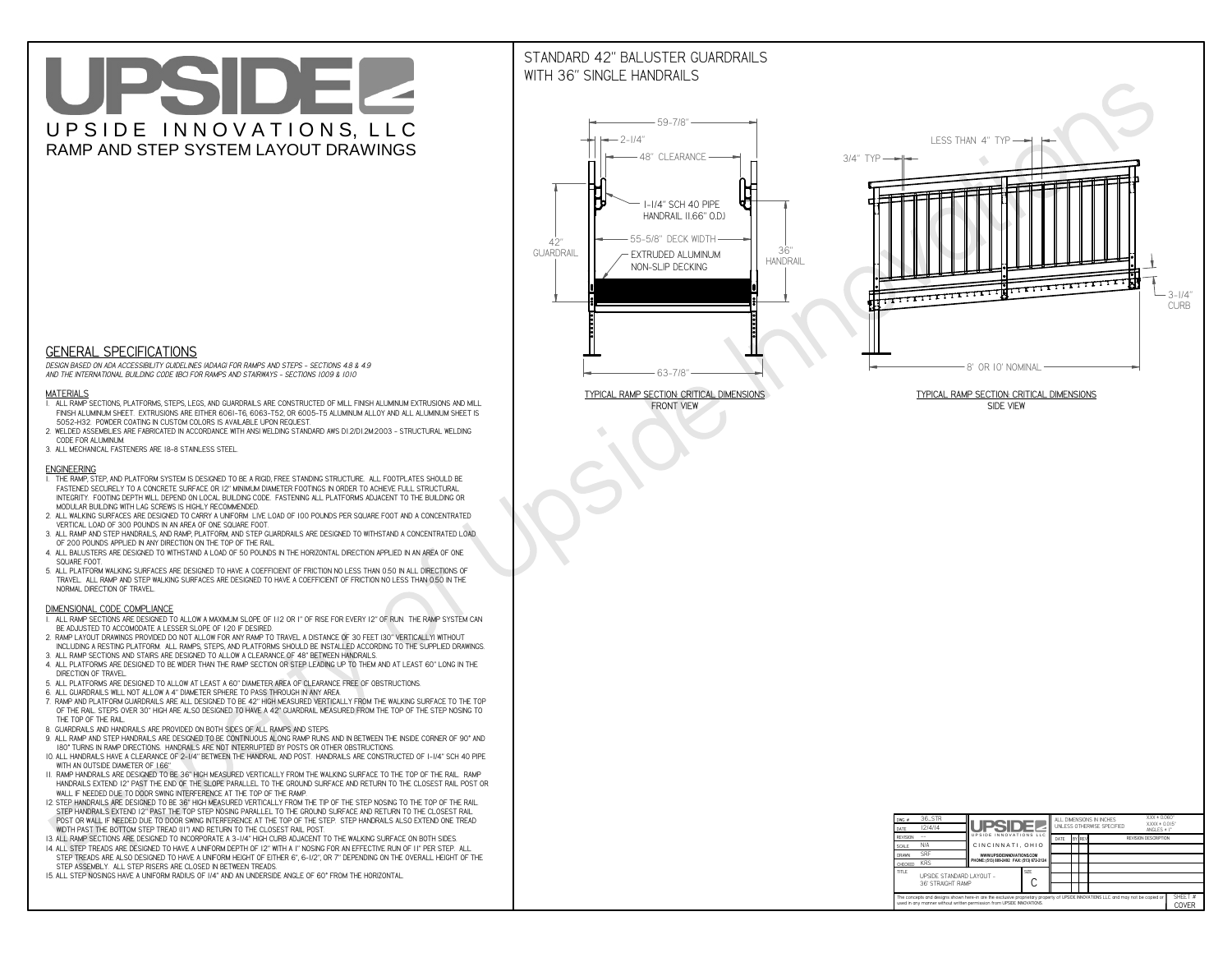# UPSIDEL UPSIDE INNOVATIONS, LLC RAMP AND STEP SYSTEM LAYOUT DRAWINGS

## STANDARD 42" BALUSTER GUARDRAILSWITH 36" SINGLE HANDRAILS

**FRONT VIEW**





**GENERAL SPECIFICATIONS**

 *DESIGN BASED ON ADA ACCESSIBILITY GUIDELINES (ADAAG) FOR RAMPS AND STEPS - SECTIONS 4.8 & 4.9AND THE INTERNATIONAL BUILDING CODE (IBC) FOR RAMPS AND STAIRWAYS - SECTIONS 1009 & 1010*

#### **MATERIALS**

- **1. ALL RAMP SECTIONS, PLATFORMS, STEPS, LEGS, AND GUARDRAILS ARE CONSTRUCTED OF MILL FINISH ALUMINUM EXTRUSIONS AND MILL FINISH ALUMINUM SHEET. EXTRUSIONS ARE EITHER 6061-T6, 6063-T52, OR 6005-T5 ALUMINUM ALLOY AND ALL ALUMINUM SHEET IS 5052-H32. POWDER COATING IN CUSTOM COLORS IS AVAILABLE UPON REQUEST.**
- **2. WELDED ASSEMBLIES ARE FABRICATED IN ACCORDANCE WITH ANSI WELDING STANDARD AWS D1.2/D1.2M:2003 STRUCTURAL WELDING CODE FOR ALUMINUM.**
- **3. ALL MECHANICAL FASTENERS ARE 18-8 STAINLESS STEEL.**

#### **ENGINEERING**

- **1. THE RAMP, STEP, AND PLATFORM SYSTEM IS DESIGNED TO BE A RIGID, FREE STANDING STRUCTURE. ALL FOOTPLATES SHOULD BE FASTENED SECURELY TO A CONCRETE SURFACE OR 12" MINIMUM DIAMETER FOOTINGS IN ORDER TO ACHIEVE FULL STRUCTURAL INTEGRITY. FOOTING DEPTH WILL DEPEND ON LOCAL BUILDING CODE. FASTENING ALL PLATFORMS ADJACENT TO THE BUILDING OR MODULAR BUILDING WITH LAG SCREWS IS HIGHLY RECOMMENDED.**
- **2. ALL WALKING SURFACES ARE DESIGNED TO CARRY A UNIFORM LIVE LOAD OF 100 POUNDS PER SQUARE FOOT AND A CONCENTRATED VERTICAL LOAD OF 300 POUNDS IN AN AREA OF ONE SQUARE FOOT.**
- **3. ALL RAMP AND STEP HANDRAILS, AND RAMP, PLATFORM, AND STEP GUARDRAILS ARE DESIGNED TO WITHSTAND A CONCENTRATED LOAD OF 200 POUNDS APPLIED IN ANY DIRECTION ON THE TOP OF THE RAIL.**
- **4. ALL BALUSTERS ARE DESIGNED TO WITHSTAND A LOAD OF 50 POUNDS IN THE HORIZONTAL DIRECTION APPLIED IN AN AREA OF ONE SQUARE FOOT.**
- **5. ALL PLATFORM WALKING SURFACES ARE DESIGNED TO HAVE A COEFFICIENT OF FRICTION NO LESS THAN 0.50 IN ALL DIRECTIONS OF TRAVEL. ALL RAMP AND STEP WALKING SURFACES ARE DESIGNED TO HAVE A COEFFICIENT OF FRICTION NO LESS THAN 0.50 IN THE NORMAL DIRECTION OF TRAVEL.**

| $DWG.$ #                                                                                                                                                                                                    | 36_STR                                        |                                                                        |             |                             |  |        | ALL DIMENSIONS IN INCHES | $XXX = 0.060"$                    |  |
|-------------------------------------------------------------------------------------------------------------------------------------------------------------------------------------------------------------|-----------------------------------------------|------------------------------------------------------------------------|-------------|-----------------------------|--|--------|--------------------------|-----------------------------------|--|
| DATE                                                                                                                                                                                                        | 12/4/14                                       | <b>UPSIDEZI</b>                                                        |             | UNI FSS OTHERWISE SPECIFIED |  |        |                          | $XXX = 0.015"$<br>ANGLES $\pm$ 1° |  |
| <b>REVISION</b>                                                                                                                                                                                             |                                               | UPSIDE INNOVATIONS LLC                                                 |             | DATE                        |  | BY REV |                          | <b>REVISION DESCRIPTION</b>       |  |
| <b>SCALE</b>                                                                                                                                                                                                | N/A                                           | CINCINNATI, OHIO                                                       |             |                             |  |        |                          |                                   |  |
| <b>DRAWN</b>                                                                                                                                                                                                | <b>SRF</b>                                    | WWW.UPSIDEINNOVATIONS.COM<br>PHONE: (513) 889-2492 FAX: (513) 672-2124 |             |                             |  |        |                          |                                   |  |
| <b>CHECKED</b>                                                                                                                                                                                              | <b>KRS</b>                                    |                                                                        |             |                             |  |        |                          |                                   |  |
| <b>TITLE</b>                                                                                                                                                                                                | UPSIDE STANDARD LAYOUT -<br>36' STRAIGHT RAMP |                                                                        | <b>SIZE</b> |                             |  |        |                          |                                   |  |
| The concepts and designs shown here-in are the exclusive proprietary property of UPSIDE INNOVATIONS LLC. and may not be copied or<br>used in any manner without written permission from UPSIDE INNOVATIONS. |                                               |                                                                        |             |                             |  |        | SHEET #<br>COVER         |                                   |  |

### **DIMENSIONAL CODE COMPLIANCE**

- **1. ALL RAMP SECTIONS ARE DESIGNED TO ALLOW A MAXIMUM SLOPE OF 1:12 OR 1" OF RISE FOR EVERY 12" OF RUN. THE RAMP SYSTEM CAN BE ADJUSTED TO ACCOMODATE A LESSER SLOPE OF 1:20 IF DESIRED.**
- **2. RAMP LAYOUT DRAWINGS PROVIDED DO NOT ALLOW FOR ANY RAMP TO TRAVEL A DISTANCE OF 30 FEET (30" VERTICALLY) WITHOUT INCLUDING A RESTING PLATFORM. ALL RAMPS, STEPS, AND PLATFORMS SHOULD BE INSTALLED ACCORDING TO THE SUPPLIED DRAWINGS.**
- **3. ALL RAMP SECTIONS AND STAIRS ARE DESIGNED TO ALLOW A CLEARANCE OF 48" BETWEEN HANDRAILS.**
- **4. ALL PLATFORMS ARE DESIGNED TO BE WIDER THAN THE RAMP SECTION OR STEP LEADING UP TO THEM AND AT LEAST 60" LONG IN THE DIRECTION OF TRAVEL.**
- **5. ALL PLATFORMS ARE DESIGNED TO ALLOW AT LEAST A 60" DIAMETER AREA OF CLEARANCE FREE OF OBSTRUCTIONS.**
- **6. ALL GUARDRAILS WILL NOT ALLOW A 4" DIAMETER SPHERE TO PASS THROUGH IN ANY AREA.**
- **7. RAMP AND PLATFORM GUARDRAILS ARE ALL DESIGNED TO BE 42" HIGH MEASURED VERTICALLY FROM THE WALKING SURFACE TO THE TOP OF THE RAIL. STEPS OVER 30" HIGH ARE ALSO DESIGNED TO HAVE A 42" GUARDRAIL MEASURED FROM THE TOP OF THE STEP NOSING TO THE TOP OF THE RAIL.**
- **8. GUARDRAILS AND HANDRAILS ARE PROVIDED ON BOTH SIDES OF ALL RAMPS AND STEPS.**
- **9. ALL RAMP AND STEP HANDRAILS ARE DESIGNED TO BE CONTINUOUS ALONG RAMP RUNS AND IN BETWEEN THE INSIDE CORNER OF 90° AND 180° TURNS IN RAMP DIRECTIONS. HANDRAILS ARE NOT INTERRUPTED BY POSTS OR OTHER OBSTRUCTIONS.**
- **10. ALL HANDRAILS HAVE A CLEARANCE OF 2-1/4" BETWEEN THE HANDRAIL AND POST. HANDRAILS ARE CONSTRUCTED OF 1-1/4" SCH 40 PIPE WITH AN OUTSIDE DIAMETER OF 1.66"**
- **11. RAMP HANDRAILS ARE DESIGNED TO BE 36" HIGH MEASURED VERTICALLY FROM THE WALKING SURFACE TO THE TOP OF THE RAIL. RAMP HANDRAILS EXTEND 12" PAST THE END OF THE SLOPE PARALLEL TO THE GROUND SURFACE AND RETURN TO THE CLOSEST RAIL POST OR WALL IF NEEDED DUE TO DOOR SWING INTERFERENCE AT THE TOP OF THE RAMP.**
- **12. STEP HANDRAILS ARE DESIGNED TO BE 36" HIGH MEASURED VERTICALLY FROM THE TIP OF THE STEP NOSING TO THE TOP OF THE RAIL. STEP HANDRAILS EXTEND 12" PAST THE TOP STEP NOSING PARALLEL TO THE GROUND SURFACE AND RETURN TO THE CLOSEST RAIL POST OR WALL IF NEEDED DUE TO DOOR SWING INTERFERENCE AT THE TOP OF THE STEP. STEP HANDRAILS ALSO EXTEND ONE TREAD**
- **WIDTH PAST THE BOTTOM STEP TREAD (11") AND RETURN TO THE CLOSEST RAIL POST.**
- **13. ALL RAMP SECTIONS ARE DESIGNED TO INCORPORATE A 3-1/4" HIGH CURB ADJACENT TO THE WALKING SURFACE ON BOTH SIDES.**
- **14. ALL STEP TREADS ARE DESIGNED TO HAVE A UNIFORM DEPTH OF 12" WITH A 1" NOSING FOR AN EFFECTIVE RUN OF 11" PER STEP. ALL STEP TREADS ARE ALSO DESIGNED TO HAVE A UNIFORM HEIGHT OF EITHER 6", 6-1/2", OR 7" DEPENDING ON THE OVERALL HEIGHT OF THE STEP ASSEMBLY. ALL STEP RISERS ARE CLOSED IN BETWEEN TREADS.**
- **15. ALL STEP NOSINGS HAVE A UNIFORM RADIUS OF 1/4" AND AN UNDERSIDE ANGLE OF 60° FROM THE HORIZONTAL.**